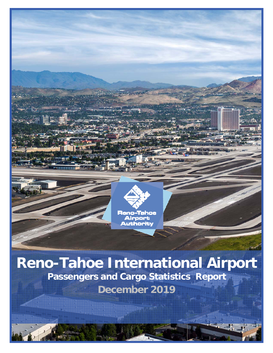

**Reno-Tahoe International Airport Passengers and Cargo Statistics Report December 2019**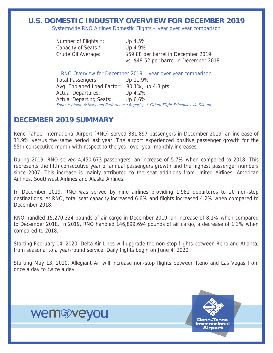### **U.S. DOMESTIC INDUSTRY OVERVIEW FOR DECEMBER 2019**

Systemwide RNO Airlines Domestic Flights – year over year comparison

| Number of Flights *: | Up $4.5\%$                              |
|----------------------|-----------------------------------------|
| Capacity of Seats *: | Up $4.9\%$                              |
| Crude Oil Average:   | \$59.88 per barrel in December 2019     |
|                      | vs. \$49.52 per barrel in December 2018 |

RNO Overview for December 2019 – year over year comparison

Total Passengers: Up 11.9% Avg. Enplaned Load Factor: 80.1%, up 4.3 pts. Actual Departures: Up 4.2% Actual Departing Seats: Up 6.6% Source: Airline Activity and Performance Reports; \* Cirium Flight Schedules via Diio mi

### **DECEMBER 2019 SUMMARY**

Reno-Tahoe International Airport (RNO) served 381,897 passengers in December 2019, an increase of 11.9% versus the same period last year. The airport experienced positive passenger growth for the 55th consecutive month with respect to the year over year monthly increases.

During 2019, RNO served 4,450,673 passengers, an increase of 5.7% when compared to 2018. This represents the fifth consecutive year of annual passengers growth and the highest passenger numbers since 2007. This increase is mainly attributed to the seat additions from United Airlines, American Airlines, Southwest Airlines and Alaska Airlines.

In December 2019, RNO was served by nine airlines providing 1,981 departures to 20 non-stop destinations. At RNO, total seat capacity increased 6.6% and flights increased 4.2% when compared to December 2018.

RNO handled 15,270,324 pounds of air cargo in December 2019, an increase of 8.1% when compared to December 2018. In 2019, RNO handled 146,899,694 pounds of air cargo, a decrease of 1.3% when compared to 2018.

Starting February 14, 2020, Delta Air Lines will upgrade the non-stop flights between Reno and Atlanta, from seasonal to a year-round service. Daily flights begin on June 4, 2020.

Starting May 13, 2020, Allegiant Air will increase non-stop flights between Reno and Las Vegas from once a day to twice a day.

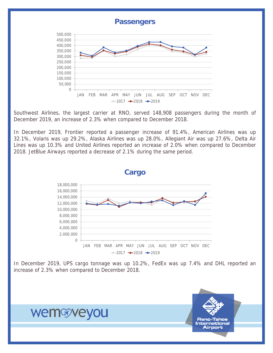

Southwest Airlines, the largest carrier at RNO, served 148,908 passengers during the month of December 2019, an increase of 2.3% when compared to December 2018.

In December 2019, Frontier reported a passenger increase of 91.4%, American Airlines was up 32.1%, Volaris was up 29.2%, Alaska Airlines was up 28.0%, Allegiant Air was up 27.6%, Delta Air Lines was up 10.3% and United Airlines reported an increase of 2.0% when compared to December 2018. JetBlue Airways reported a decrease of 2.1% during the same period.



In December 2019, UPS cargo tonnage was up 10.2%, FedEx was up 7.4% and DHL reported an increase of 2.3% when compared to December 2018.

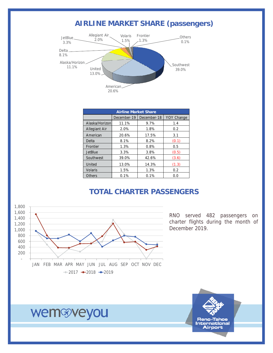### **AIRLINE MARKET SHARE (passengers)**



| <b>Airline Market Share</b> |             |             |            |  |  |  |  |  |
|-----------------------------|-------------|-------------|------------|--|--|--|--|--|
|                             | December-19 | December-18 | YOY Change |  |  |  |  |  |
| Alaska/Horizon              | 11.1%       | 9.7%        | 1.4        |  |  |  |  |  |
| <b>Allegiant Air</b>        | 2.0%        | 1.8%        | 0.2        |  |  |  |  |  |
| American                    | 20.6%       | 17.5%       | 3.1        |  |  |  |  |  |
| Delta                       | 8.1%        | 8.2%        | (0.1)      |  |  |  |  |  |
| Frontier                    | 1.3%        | 0.8%        | 0.5        |  |  |  |  |  |
| <b>JetBlue</b>              | 3.3%        | 3.8%        | (0.5)      |  |  |  |  |  |
| Southwest                   | 39.0%       | 42.6%       | (3.6)      |  |  |  |  |  |
| United                      | 13.0%       | 14.3%       | (1.3)      |  |  |  |  |  |
| <b>Volaris</b>              | 1.5%        | 1.3%        | 0.2        |  |  |  |  |  |
| Others                      | 0.1%        | 0.1%        | 0.0        |  |  |  |  |  |

### **TOTAL CHARTER PASSENGERS**



RNO served 482 passengers on charter flights during the month of December 2019.

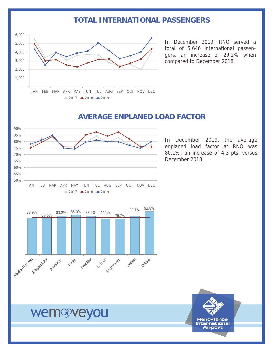### **TOTAL INTERNATIONAL PASSENGERS**



In December 2019, RNO served a total of 5,646 international passengers, an increase of 29.2% when compared to December 2018.

## **AVERAGE ENPLANED LOAD FACTOR**



In December 2019, the average enplaned load factor at RNO was 80.1%, an increase of 4.3 pts. versus December 2018.



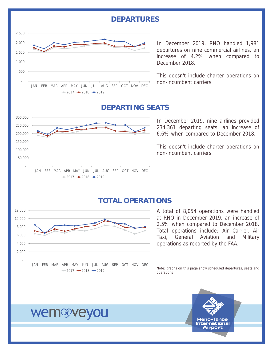### **DEPARTURES**



In December 2019, RNO handled 1,981 departures on nine commercial airlines, an increase of 4.2% when compared to December 2018.

This doesn't include charter operations on non-incumbent carriers.

### **DEPARTING SEATS**



In December 2019, nine airlines provided 234,361 departing seats, an increase of 6.6% when compared to December 2018.

This doesn't include charter operations on non-incumbent carriers.

### **TOTAL OPERATIONS**



A total of 8,054 operations were handled at RNO in December 2019, an increase of 2.5% when compared to December 2018. Total operations include: Air Carrier, Air Taxi, General Aviation and Military operations as reported by the FAA.

Note: graphs on this page show scheduled departures, seats and operations

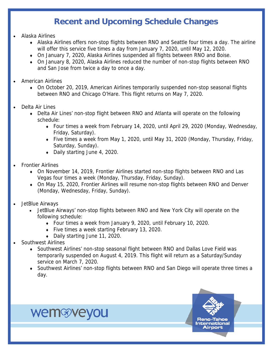## **Recent and Upcoming Schedule Changes**

- Alaska Airlines
	- Alaska Airlines offers non-stop flights between RNO and Seattle four times a day. The airline will offer this service five times a day from January 7, 2020, until May 12, 2020.
	- On January 7, 2020, Alaska Airlines suspended all flights between RNO and Boise.
	- On January 8, 2020, Alaska Airlines reduced the number of non-stop flights between RNO and San Jose from twice a day to once a day.
- American Airlines
	- On October 20, 2019, American Airlines temporarily suspended non-stop seasonal flights between RNO and Chicago O'Hare. This flight returns on May 7, 2020.
- Delta Air Lines
	- Delta Air Lines' non-stop flight between RNO and Atlanta will operate on the following schedule:
		- Four times a week from February 14, 2020, until April 29, 2020 (Monday, Wednesday, Friday, Saturday).
		- Five times a week from May 1, 2020, until May 31, 2020 (Monday, Thursday, Friday, Saturday, Sunday).
		- ◆ Daily starting June 4, 2020.
- Frontier Airlines
	- On November 14, 2019, Frontier Airlines started non-stop flights between RNO and Las Vegas four times a week (Monday, Thursday, Friday, Sunday).
	- On May 15, 2020, Frontier Airlines will resume non-stop flights between RNO and Denver (Monday, Wednesday, Friday, Sunday).
- JetBlue Airways
	- JetBlue Airways' non-stop flights between RNO and New York City will operate on the following schedule:
		- Four times a week from January 9, 2020, until February 10, 2020.
		- ◆ Five times a week starting February 13, 2020.
		- Daily starting June 11, 2020.

- Southwest Airlines
	- Southwest Airlines' non-stop seasonal flight between RNO and Dallas Love Field was temporarily suspended on August 4, 2019. This flight will return as a Saturday/Sunday service on March 7, 2020.
	- Southwest Airlines' non-stop flights between RNO and San Diego will operate three times a day.

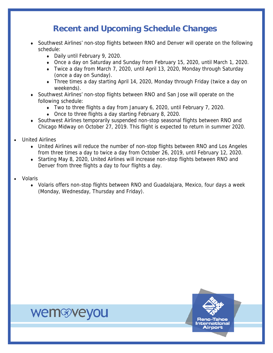## **Recent and Upcoming Schedule Changes**

- Southwest Airlines' non-stop flights between RNO and Denver will operate on the following schedule:
	- ◆ Daily until February 9, 2020.
	- Once a day on Saturday and Sunday from February 15, 2020, until March 1, 2020.
	- Twice a day from March 7, 2020, until April 13, 2020, Monday through Saturday (once a day on Sunday).
	- Three times a day starting April 14, 2020, Monday through Friday (twice a day on weekends).
- Southwest Airlines' non-stop flights between RNO and San Jose will operate on the following schedule:
	- Two to three flights a day from January 6, 2020, until February 7, 2020.
	- Once to three flights a day starting February 8, 2020.
- Southwest Airlines temporarily suspended non-stop seasonal flights between RNO and Chicago Midway on October 27, 2019. This flight is expected to return in summer 2020.
- United Airlines
	- United Airlines will reduce the number of non-stop flights between RNO and Los Angeles from three times a day to twice a day from October 26, 2019, until February 12, 2020.
	- Starting May 8, 2020, United Airlines will increase non-stop flights between RNO and Denver from three flights a day to four flights a day.
- Volaris
	- Volaris offers non-stop flights between RNO and Guadalajara, Mexico, four days a week (Monday, Wednesday, Thursday and Friday).